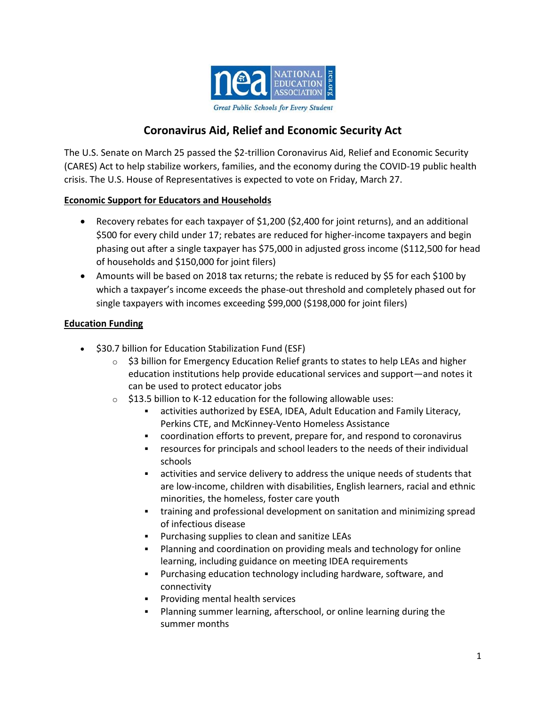

# **Coronavirus Aid, Relief and Economic Security Act**

The U.S. Senate on March 25 passed the \$2-trillion Coronavirus Aid, Relief and Economic Security (CARES) Act to help stabilize workers, families, and the economy during the COVID-19 public health crisis. The U.S. House of Representatives is expected to vote on Friday, March 27.

### **Economic Support for Educators and Households**

- Recovery rebates for each taxpayer of \$1,200 (\$2,400 for joint returns), and an additional \$500 for every child under 17; rebates are reduced for higher-income taxpayers and begin phasing out after a single taxpayer has \$75,000 in adjusted gross income (\$112,500 for head of households and \$150,000 for joint filers)
- Amounts will be based on 2018 tax returns; the rebate is reduced by \$5 for each \$100 by which a taxpayer's income exceeds the phase-out threshold and completely phased out for single taxpayers with incomes exceeding \$99,000 (\$198,000 for joint filers)

### **Education Funding**

- $\bullet$  \$30.7 billion for Education Stabilization Fund (ESF)
	- $\circ$  \$3 billion for Emergency Education Relief grants to states to help LEAs and higher education institutions help provide educational services and support—and notes it can be used to protect educator jobs
	- $\circ$  \$13.5 billion to K-12 education for the following allowable uses:
		- activities authorized by ESEA, IDEA, Adult Education and Family Literacy, Perkins CTE, and McKinney-Vento Homeless Assistance
		- coordination efforts to prevent, prepare for, and respond to coronavirus
		- resources for principals and school leaders to the needs of their individual schools
		- activities and service delivery to address the unique needs of students that are low-income, children with disabilities, English learners, racial and ethnic minorities, the homeless, foster care youth
		- training and professional development on sanitation and minimizing spread of infectious disease
		- Purchasing supplies to clean and sanitize LEAs
		- Planning and coordination on providing meals and technology for online learning, including guidance on meeting IDEA requirements
		- Purchasing education technology including hardware, software, and connectivity
		- Providing mental health services
		- Planning summer learning, afterschool, or online learning during the summer months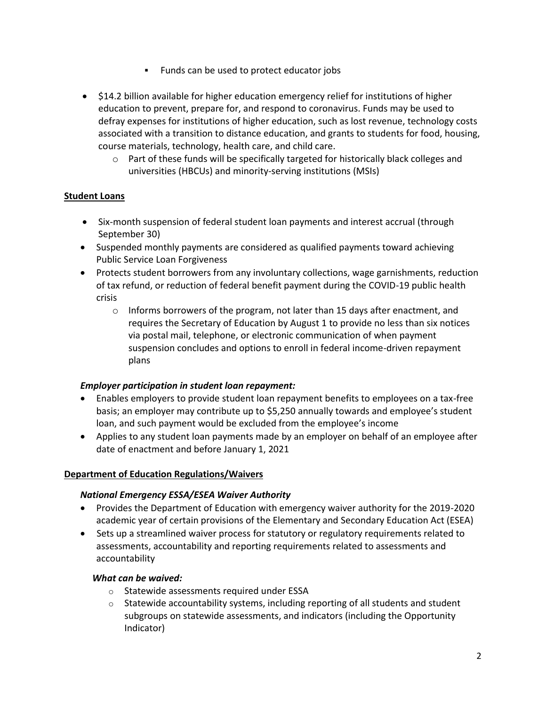- **Funds can be used to protect educator jobs**
- \$14.2 billion available for higher education emergency relief for institutions of higher education to prevent, prepare for, and respond to coronavirus. Funds may be used to defray expenses for institutions of higher education, such as lost revenue, technology costs associated with a transition to distance education, and grants to students for food, housing, course materials, technology, health care, and child care.
	- $\circ$  Part of these funds will be specifically targeted for historically black colleges and universities (HBCUs) and minority-serving institutions (MSIs)

### **Student Loans**

- Six-month suspension of federal student loan payments and interest accrual (through September 30)
- Suspended monthly payments are considered as qualified payments toward achieving Public Service Loan Forgiveness
- Protects student borrowers from any involuntary collections, wage garnishments, reduction of tax refund, or reduction of federal benefit payment during the COVID-19 public health crisis
	- $\circ$  Informs borrowers of the program, not later than 15 days after enactment, and requires the Secretary of Education by August 1 to provide no less than six notices via postal mail, telephone, or electronic communication of when payment suspension concludes and options to enroll in federal income-driven repayment plans

### *Employer participation in student loan repayment:*

- Enables employers to provide student loan repayment benefits to employees on a tax-free basis; an employer may contribute up to \$5,250 annually towards and employee's student loan, and such payment would be excluded from the employee's income
- Applies to any student loan payments made by an employer on behalf of an employee after date of enactment and before January 1, 2021

### **Department of Education Regulations/Waivers**

### *National Emergency ESSA/ESEA Waiver Authority*

- Provides the Department of Education with emergency waiver authority for the 2019-2020 academic year of certain provisions of the Elementary and Secondary Education Act (ESEA)
- Sets up a streamlined waiver process for statutory or regulatory requirements related to assessments, accountability and reporting requirements related to assessments and accountability

### *What can be waived:*

- o Statewide assessments required under ESSA
- $\circ$  Statewide accountability systems, including reporting of all students and student subgroups on statewide assessments, and indicators (including the Opportunity Indicator)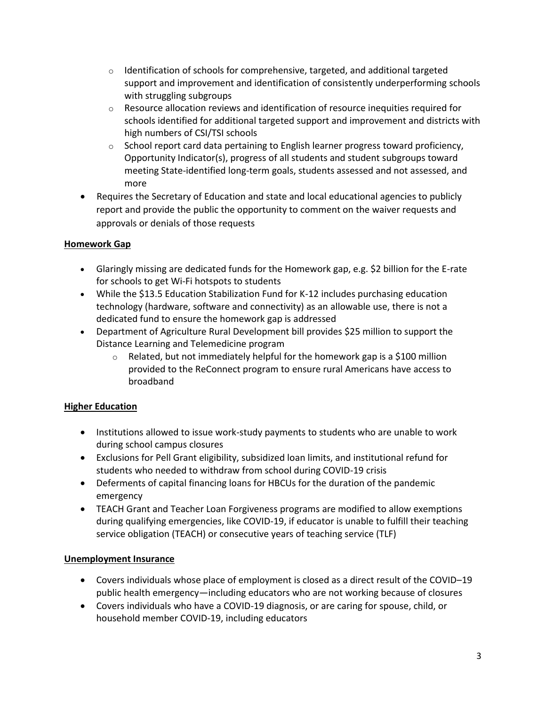- $\circ$  Identification of schools for comprehensive, targeted, and additional targeted support and improvement and identification of consistently underperforming schools with struggling subgroups
- $\circ$  Resource allocation reviews and identification of resource inequities required for schools identified for additional targeted support and improvement and districts with high numbers of CSI/TSI schools
- $\circ$  School report card data pertaining to English learner progress toward proficiency, Opportunity Indicator(s), progress of all students and student subgroups toward meeting State-identified long-term goals, students assessed and not assessed, and more
- Requires the Secretary of Education and state and local educational agencies to publicly report and provide the public the opportunity to comment on the waiver requests and approvals or denials of those requests

## **Homework Gap**

- Glaringly missing are dedicated funds for the Homework gap, e.g. \$2 billion for the E-rate for schools to get Wi-Fi hotspots to students
- While the \$13.5 Education Stabilization Fund for K-12 includes purchasing education technology (hardware, software and connectivity) as an allowable use, there is not a dedicated fund to ensure the homework gap is addressed
- Department of Agriculture Rural Development bill provides \$25 million to support the Distance Learning and Telemedicine program
	- $\circ$  Related, but not immediately helpful for the homework gap is a \$100 million provided to the ReConnect program to ensure rural Americans have access to broadband

## **Higher Education**

- Institutions allowed to issue work-study payments to students who are unable to work during school campus closures
- Exclusions for Pell Grant eligibility, subsidized loan limits, and institutional refund for students who needed to withdraw from school during COVID-19 crisis
- Deferments of capital financing loans for HBCUs for the duration of the pandemic emergency
- TEACH Grant and Teacher Loan Forgiveness programs are modified to allow exemptions during qualifying emergencies, like COVID-19, if educator is unable to fulfill their teaching service obligation (TEACH) or consecutive years of teaching service (TLF)

## **Unemployment Insurance**

- Covers individuals whose place of employment is closed as a direct result of the COVID–19 public health emergency—including educators who are not working because of closures
- Covers individuals who have a COVID-19 diagnosis, or are caring for spouse, child, or household member COVID-19, including educators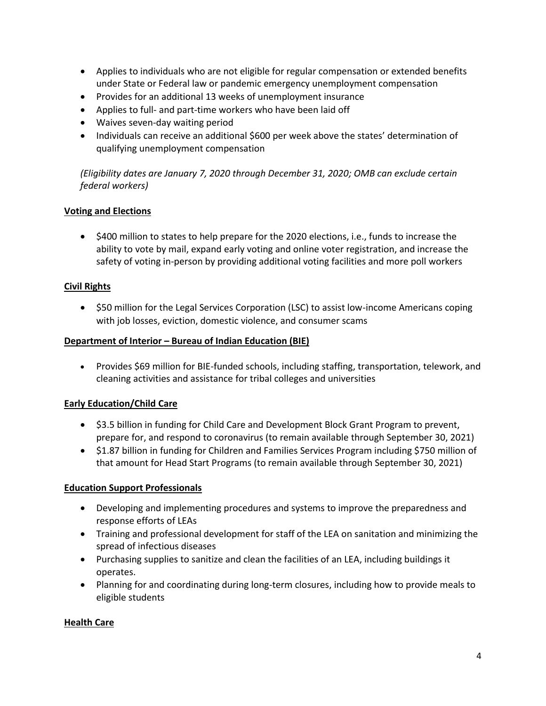- Applies to individuals who are not eligible for regular compensation or extended benefits under State or Federal law or pandemic emergency unemployment compensation
- Provides for an additional 13 weeks of unemployment insurance
- Applies to full- and part-time workers who have been laid off
- Waives seven-day waiting period
- Individuals can receive an additional \$600 per week above the states' determination of qualifying unemployment compensation

*(Eligibility dates are January 7, 2020 through December 31, 2020; OMB can exclude certain federal workers)*

## **Voting and Elections**

• \$400 million to states to help prepare for the 2020 elections, i.e., funds to increase the ability to vote by mail, expand early voting and online voter registration, and increase the safety of voting in-person by providing additional voting facilities and more poll workers

## **Civil Rights**

• \$50 million for the Legal Services Corporation (LSC) to assist low-income Americans coping with job losses, eviction, domestic violence, and consumer scams

## **Department of Interior – Bureau of Indian Education (BIE)**

• Provides \$69 million for BIE-funded schools, including staffing, transportation, telework, and cleaning activities and assistance for tribal colleges and universities

## **Early Education/Child Care**

- \$3.5 billion in funding for Child Care and Development Block Grant Program to prevent, prepare for, and respond to coronavirus (to remain available through September 30, 2021)
- \$1.87 billion in funding for Children and Families Services Program including \$750 million of that amount for Head Start Programs (to remain available through September 30, 2021)

## **Education Support Professionals**

- Developing and implementing procedures and systems to improve the preparedness and response efforts of LEAs
- Training and professional development for staff of the LEA on sanitation and minimizing the spread of infectious diseases
- Purchasing supplies to sanitize and clean the facilities of an LEA, including buildings it operates.
- Planning for and coordinating during long-term closures, including how to provide meals to eligible students

## **Health Care**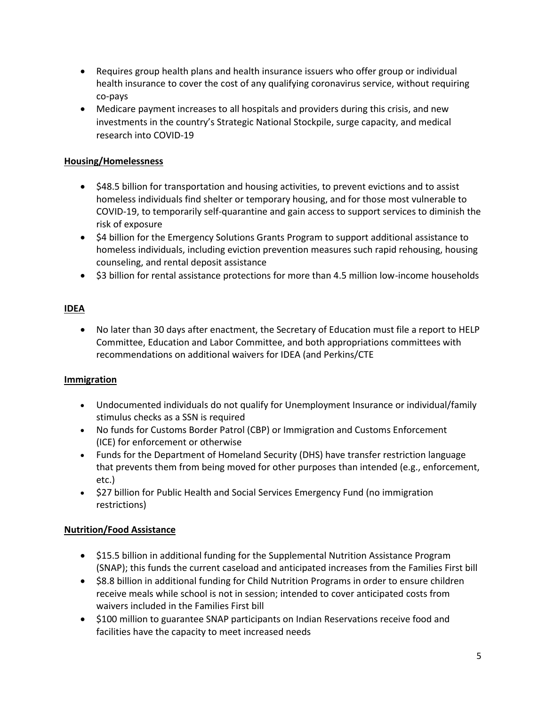- Requires group health plans and health insurance issuers who offer group or individual health insurance to cover the cost of any qualifying coronavirus service, without requiring co-pays
- Medicare payment increases to all hospitals and providers during this crisis, and new investments in the country's Strategic National Stockpile, surge capacity, and medical research into COVID-19

## **Housing/Homelessness**

- \$48.5 billion for transportation and housing activities, to prevent evictions and to assist homeless individuals find shelter or temporary housing, and for those most vulnerable to COVID-19, to temporarily self-quarantine and gain access to support services to diminish the risk of exposure
- \$4 billion for the Emergency Solutions Grants Program to support additional assistance to homeless individuals, including eviction prevention measures such rapid rehousing, housing counseling, and rental deposit assistance
- \$3 billion for rental assistance protections for more than 4.5 million low-income households

## **IDEA**

 No later than 30 days after enactment, the Secretary of Education must file a report to HELP Committee, Education and Labor Committee, and both appropriations committees with recommendations on additional waivers for IDEA (and Perkins/CTE

## **Immigration**

- Undocumented individuals do not qualify for Unemployment Insurance or individual/family stimulus checks as a SSN is required
- No funds for Customs Border Patrol (CBP) or Immigration and Customs Enforcement (ICE) for enforcement or otherwise
- Funds for the Department of Homeland Security (DHS) have transfer restriction language that prevents them from being moved for other purposes than intended (e.g., enforcement, etc.)
- S27 billion for Public Health and Social Services Emergency Fund (no immigration restrictions)

## **Nutrition/Food Assistance**

- \$15.5 billion in additional funding for the Supplemental Nutrition Assistance Program (SNAP); this funds the current caseload and anticipated increases from the Families First bill
- \$8.8 billion in additional funding for Child Nutrition Programs in order to ensure children receive meals while school is not in session; intended to cover anticipated costs from waivers included in the Families First bill
- \$100 million to guarantee SNAP participants on Indian Reservations receive food and facilities have the capacity to meet increased needs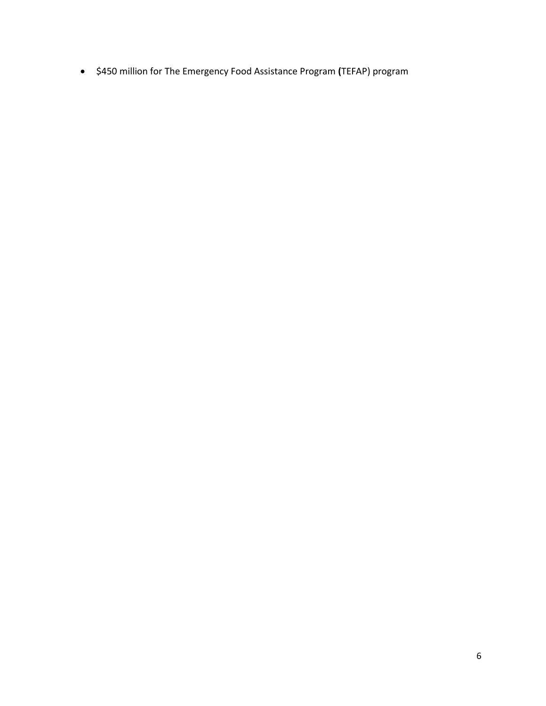\$450 million for The Emergency Food Assistance Program **(**TEFAP) program